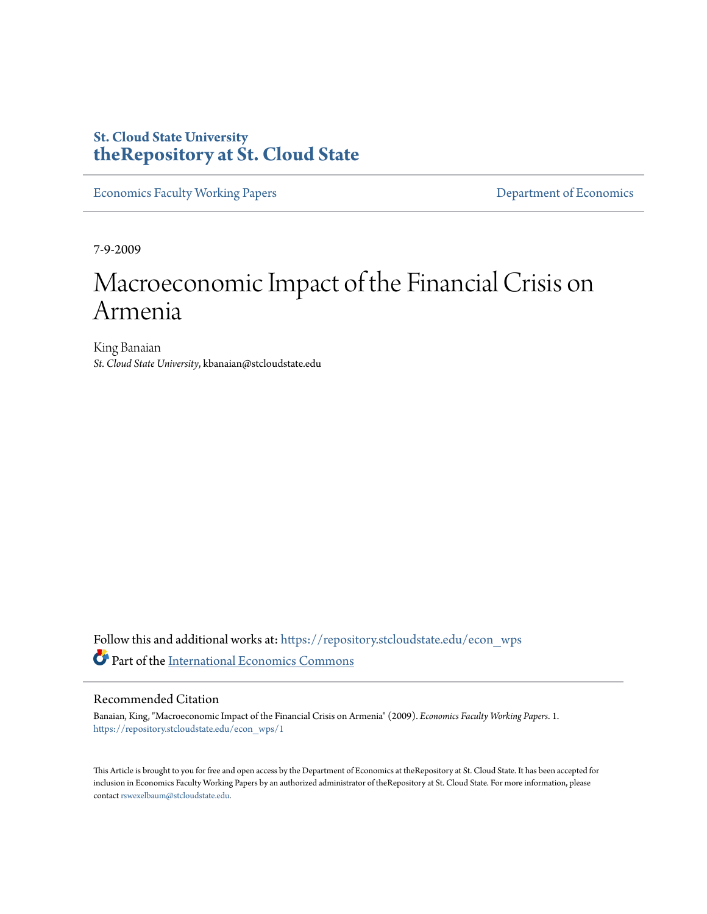## **St. Cloud State University [theRepository at St. Cloud State](https://repository.stcloudstate.edu?utm_source=repository.stcloudstate.edu%2Fecon_wps%2F1&utm_medium=PDF&utm_campaign=PDFCoverPages)**

[Economics Faculty Working Papers](https://repository.stcloudstate.edu/econ_wps?utm_source=repository.stcloudstate.edu%2Fecon_wps%2F1&utm_medium=PDF&utm_campaign=PDFCoverPages) **[Department of Economics](https://repository.stcloudstate.edu/econ?utm_source=repository.stcloudstate.edu%2Fecon_wps%2F1&utm_medium=PDF&utm_campaign=PDFCoverPages)** 

7-9-2009

# Macroeconomic Impact of the Financial Crisis on Armenia

King Banaian *St. Cloud State University*, kbanaian@stcloudstate.edu

Follow this and additional works at: [https://repository.stcloudstate.edu/econ\\_wps](https://repository.stcloudstate.edu/econ_wps?utm_source=repository.stcloudstate.edu%2Fecon_wps%2F1&utm_medium=PDF&utm_campaign=PDFCoverPages) Part of the [International Economics Commons](http://network.bepress.com/hgg/discipline/348?utm_source=repository.stcloudstate.edu%2Fecon_wps%2F1&utm_medium=PDF&utm_campaign=PDFCoverPages)

#### Recommended Citation

Banaian, King, "Macroeconomic Impact of the Financial Crisis on Armenia" (2009). *Economics Faculty Working Papers*. 1. [https://repository.stcloudstate.edu/econ\\_wps/1](https://repository.stcloudstate.edu/econ_wps/1?utm_source=repository.stcloudstate.edu%2Fecon_wps%2F1&utm_medium=PDF&utm_campaign=PDFCoverPages)

This Article is brought to you for free and open access by the Department of Economics at theRepository at St. Cloud State. It has been accepted for inclusion in Economics Faculty Working Papers by an authorized administrator of theRepository at St. Cloud State. For more information, please contact [rswexelbaum@stcloudstate.edu.](mailto:rswexelbaum@stcloudstate.edu)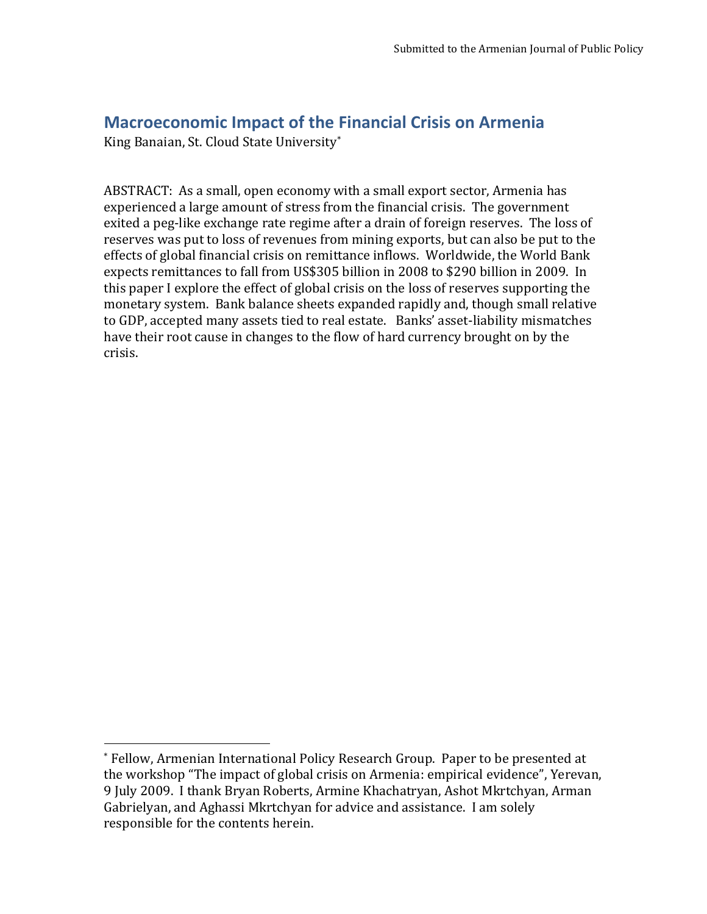## **Macroeconomic Impact of the Financial Crisis on Armenia**

King Banaian, St. Cloud State University\*

l

ABSTRACT: As a small, open economy with a small export sector, Armenia has experienced a large amount of stress from the financial crisis. The government exited a peg-like exchange rate regime after a drain of foreign reserves. The loss of reserves was put to loss of revenues from mining exports, but can also be put to the effects of global financial crisis on remittance inflows. Worldwide, the World Bank expects remittances to fall from US\$305 billion in 2008 to \$290 billion in 2009. In this paper I explore the effect of global crisis on the loss of reserves supporting the monetary system. Bank balance sheets expanded rapidly and, though small relative to GDP, accepted many assets tied to real estate. Banks' asset-liability mismatches have their root cause in changes to the flow of hard currency brought on by the crisis.

<sup>\*</sup> Fellow, Armenian International Policy Research Group. Paper to be presented at the workshop "The impact of global crisis on Armenia: empirical evidence", Yerevan, 9 July 2009. I thank Bryan Roberts, Armine Khachatryan, Ashot Mkrtchyan, Arman Gabrielyan, and Aghassi Mkrtchyan for advice and assistance. I am solely responsible for the contents herein.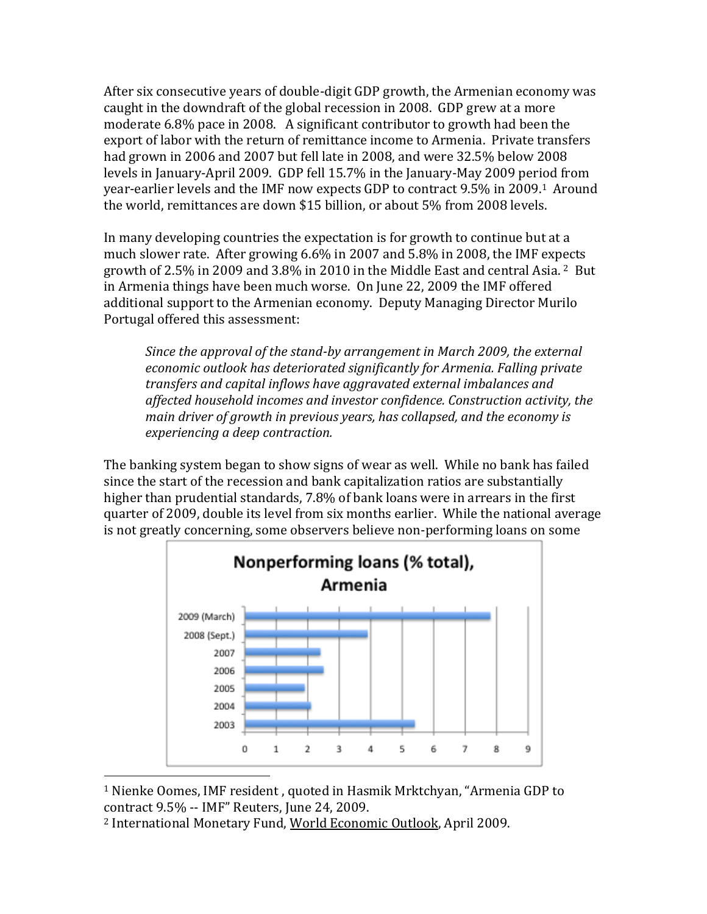After six consecutive years of double-digit GDP growth, the Armenian economy was caught in the downdraft of the global recession in 2008. GDP grew at a more moderate 6.8% pace in 2008. A significant contributor to growth had been the export of labor with the return of remittance income to Armenia. Private transfers had grown in 2006 and 2007 but fell late in 2008, and were 32.5% below 2008 levels in January-April 2009. GDP fell 15.7% in the January-May 2009 period from year-earlier levels and the IMF now expects GDP to contract 9.5% in 2009.1 Around the world, remittances are down \$15 billion, or about 5% from 2008 levels.

In many developing countries the expectation is for growth to continue but at a much slower rate. After growing 6.6% in 2007 and 5.8% in 2008, the IMF expects growth of 2.5% in 2009 and 3.8% in 2010 in the Middle East and central Asia.  $2$  But in Armenia things have been much worse. On June 22, 2009 the IMF offered additional support to the Armenian economy. Deputy Managing Director Murilo Portugal offered this assessment:

*Since the approval of the stand-by arrangement in March 2009, the external economic outlook has deteriorated significantly for Armenia. Falling private transfers and capital inflows have aggravated external imbalances and affected household incomes and investor confidence. Construction activity, the main driver of growth in previous years, has collapsed, and the economy is experiencing a deep contraction.*

The banking system began to show signs of wear as well. While no bank has failed since the start of the recession and bank capitalization ratios are substantially higher than prudential standards, 7.8% of bank loans were in arrears in the first quarter of 2009, double its level from six months earlier. While the national average is not greatly concerning, some observers believe non-performing loans on some



<sup>1</sup> Nienke Oomes, IMF resident , quoted in Hasmik Mrktchyan, "Armenia GDP to contract 9.5% -- IMF" Reuters, June 24, 2009.

<sup>2</sup> International Monetary Fund, World Economic Outlook, April 2009.

 $\overline{a}$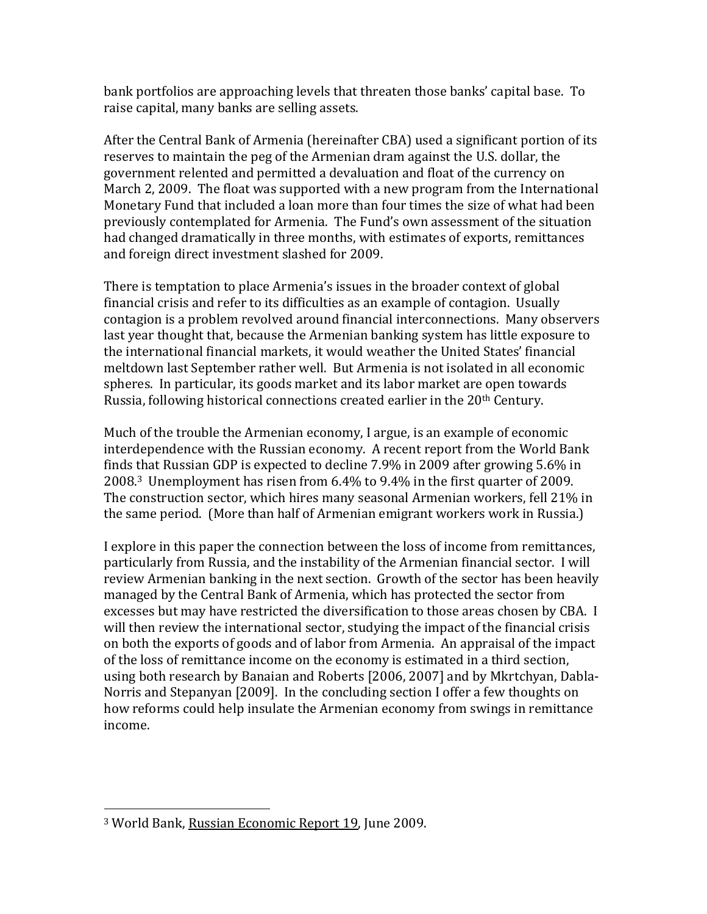bank portfolios are approaching levels that threaten those banks' capital base. To raise capital, many banks are selling assets.

After the Central Bank of Armenia (hereinafter CBA) used a significant portion of its reserves to maintain the peg of the Armenian dram against the U.S. dollar, the government relented and permitted a devaluation and float of the currency on March 2, 2009. The float was supported with a new program from the International Monetary Fund that included a loan more than four times the size of what had been previously contemplated for Armenia. The Fund's own assessment of the situation had changed dramatically in three months, with estimates of exports, remittances and foreign direct investment slashed for 2009.

There is temptation to place Armenia's issues in the broader context of global financial crisis and refer to its difficulties as an example of contagion. Usually contagion is a problem revolved around financial interconnections. Many observers last year thought that, because the Armenian banking system has little exposure to the international financial markets, it would weather the United States' financial meltdown last September rather well. But Armenia is not isolated in all economic spheres. In particular, its goods market and its labor market are open towards Russia, following historical connections created earlier in the 20<sup>th</sup> Century.

Much of the trouble the Armenian economy, I argue, is an example of economic interdependence with the Russian economy. A recent report from the World Bank finds that Russian GDP is expected to decline 7.9% in 2009 after growing 5.6% in 2008.3 Unemployment has risen from 6.4% to 9.4% in the first quarter of 2009. The construction sector, which hires many seasonal Armenian workers, fell 21% in the same period. (More than half of Armenian emigrant workers work in Russia.)

I explore in this paper the connection between the loss of income from remittances, particularly from Russia, and the instability of the Armenian financial sector. I will review Armenian banking in the next section. Growth of the sector has been heavily managed by the Central Bank of Armenia, which has protected the sector from excesses but may have restricted the diversification to those areas chosen by CBA. I will then review the international sector, studying the impact of the financial crisis on both the exports of goods and of labor from Armenia. An appraisal of the impact of the loss of remittance income on the economy is estimated in a third section, using both research by Banaian and Roberts [2006, 2007] and by Mkrtchyan, Dabla-Norris and Stepanyan [2009]. In the concluding section I offer a few thoughts on how reforms could help insulate the Armenian economy from swings in remittance income.

l

<sup>&</sup>lt;sup>3</sup> World Bank, Russian Economic Report 19, June 2009.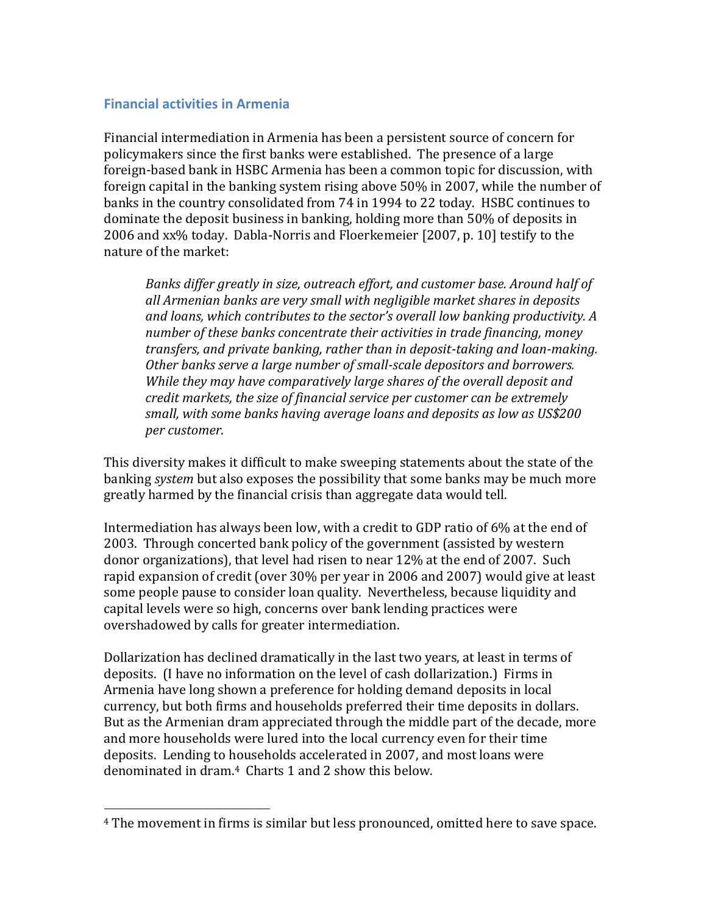### **Financial activities in Armenia**

l

Financial intermediation in Armenia has been a persistent source of concern for policymakers since the first banks were established. The presence of a large foreign-based bank in HSBC Armenia has been a common topic for discussion, with foreign capital in the banking system rising above 50% in 2007, while the number of banks in the country consolidated from 74 in 1994 to 22 today. HSBC continues to dominate the deposit business in banking, holding more than 50% of deposits in 2006 and xx% today. Dabla-Norris and Floerkemeier [2007, p. 10] testify to the nature of the market:

*Banks differ greatly in size, outreach effort, and customer base. Around half of all Armenian banks are very small with negligible market shares in deposits and loans, which contributes to the sector's overall low banking productivity. A number of these banks concentrate their activities in trade financing, money transfers, and private banking, rather than in deposit-taking and loan-making. Other banks serve a large number of small-scale depositors and borrowers. While they may have comparatively large shares of the overall deposit and credit markets, the size of financial service per customer can be extremely small, with some banks having average loans and deposits as low as US\$200 per customer.*

This diversity makes it difficult to make sweeping statements about the state of the banking *system* but also exposes the possibility that some banks may be much more greatly harmed by the financial crisis than aggregate data would tell.

Intermediation has always been low, with a credit to GDP ratio of 6% at the end of 2003. Through concerted bank policy of the government (assisted by western donor organizations), that level had risen to near 12% at the end of 2007. Such rapid expansion of credit (over 30% per year in 2006 and 2007) would give at least some people pause to consider loan quality. Nevertheless, because liquidity and capital levels were so high, concerns over bank lending practices were overshadowed by calls for greater intermediation.

Dollarization has declined dramatically in the last two years, at least in terms of deposits. (I have no information on the level of cash dollarization.) Firms in Armenia have long shown a preference for holding demand deposits in local currency, but both firms and households preferred their time deposits in dollars. But as the Armenian dram appreciated through the middle part of the decade, more and more households were lured into the local currency even for their time deposits. Lending to households accelerated in 2007, and most loans were denominated in dram.4 Charts 1 and 2 show this below.

<sup>4</sup> The movement in firms is similar but less pronounced, omitted here to save space.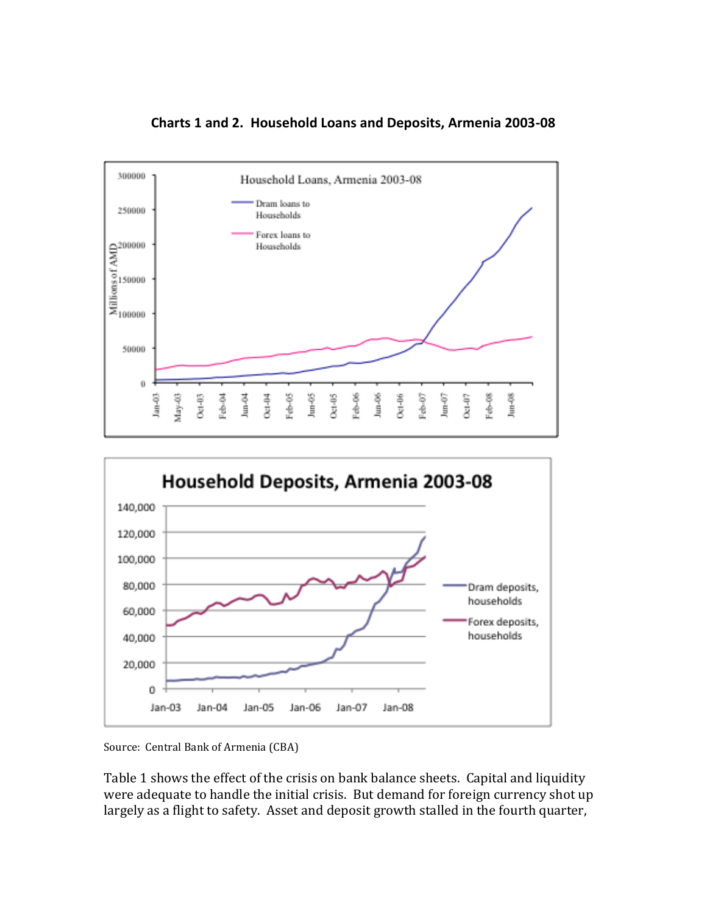

**Charts 1 and 2. Household Loans and Deposits, Armenia 2003-08**



Source: Central Bank of Armenia (CBA)

Table 1 shows the effect of the crisis on bank balance sheets. Capital and liquidity were adequate to handle the initial crisis. But demand for foreign currency shot up largely as a flight to safety. Asset and deposit growth stalled in the fourth quarter,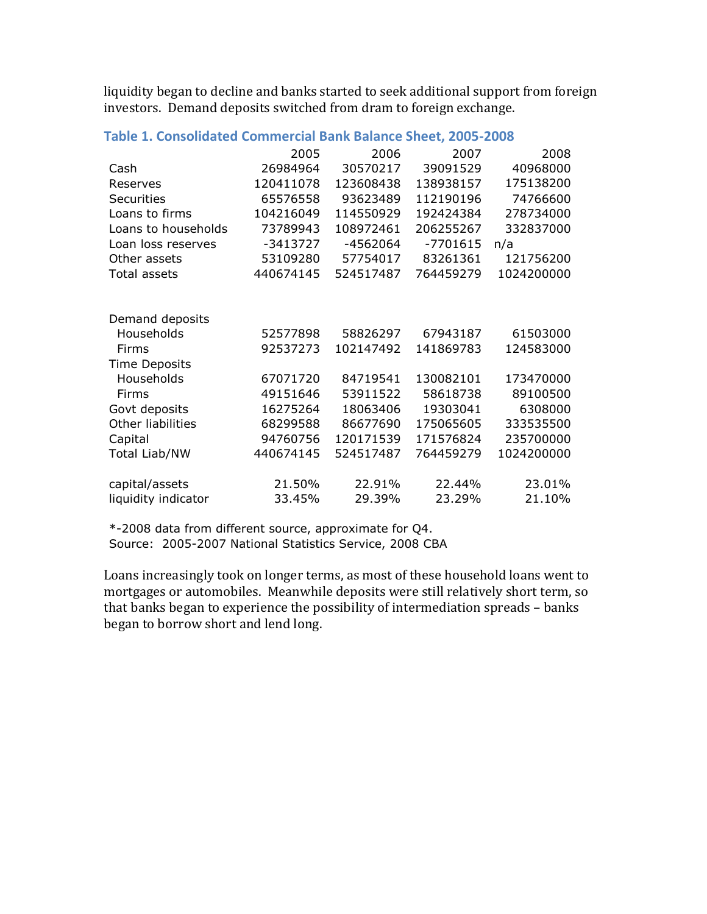liquidity began to decline and banks started to seek additional support from foreign investors. Demand deposits switched from dram to foreign exchange.

|                      | 2005       | 2006      | 2007       | 2008       |
|----------------------|------------|-----------|------------|------------|
| Cash                 | 26984964   | 30570217  | 39091529   | 40968000   |
| Reserves             | 120411078  | 123608438 | 138938157  | 175138200  |
| <b>Securities</b>    | 65576558   | 93623489  | 112190196  | 74766600   |
| Loans to firms       | 104216049  | 114550929 | 192424384  | 278734000  |
| Loans to households  | 73789943   | 108972461 | 206255267  | 332837000  |
| Loan loss reserves   | $-3413727$ | -4562064  | $-7701615$ | n/a        |
| Other assets         | 53109280   | 57754017  | 83261361   | 121756200  |
| Total assets         | 440674145  | 524517487 | 764459279  | 1024200000 |
|                      |            |           |            |            |
| Demand deposits      |            |           |            |            |
| Households           | 52577898   | 58826297  | 67943187   | 61503000   |
| Firms                | 92537273   | 102147492 | 141869783  | 124583000  |
| <b>Time Deposits</b> |            |           |            |            |
| Households           | 67071720   | 84719541  | 130082101  | 173470000  |
| Firms                | 49151646   | 53911522  | 58618738   | 89100500   |
| Govt deposits        | 16275264   | 18063406  | 19303041   | 6308000    |
| Other liabilities    | 68299588   | 86677690  | 175065605  | 333535500  |
| Capital              | 94760756   | 120171539 | 171576824  | 235700000  |
| <b>Total Liab/NW</b> | 440674145  | 524517487 | 764459279  | 1024200000 |
| capital/assets       | 21.50%     | 22.91%    | 22.44%     | 23.01%     |
| liquidity indicator  | 33.45%     | 29.39%    | 23.29%     | 21.10%     |

### **Table 1. Consolidated Commercial Bank Balance Sheet, 2005-2008**

\*-2008 data from different source, approximate for Q4. Source: 2005-2007 National Statistics Service, 2008 CBA

Loans increasingly took on longer terms, as most of these household loans went to mortgages or automobiles. Meanwhile deposits were still relatively short term, so that banks began to experience the possibility of intermediation spreads – banks began to borrow short and lend long.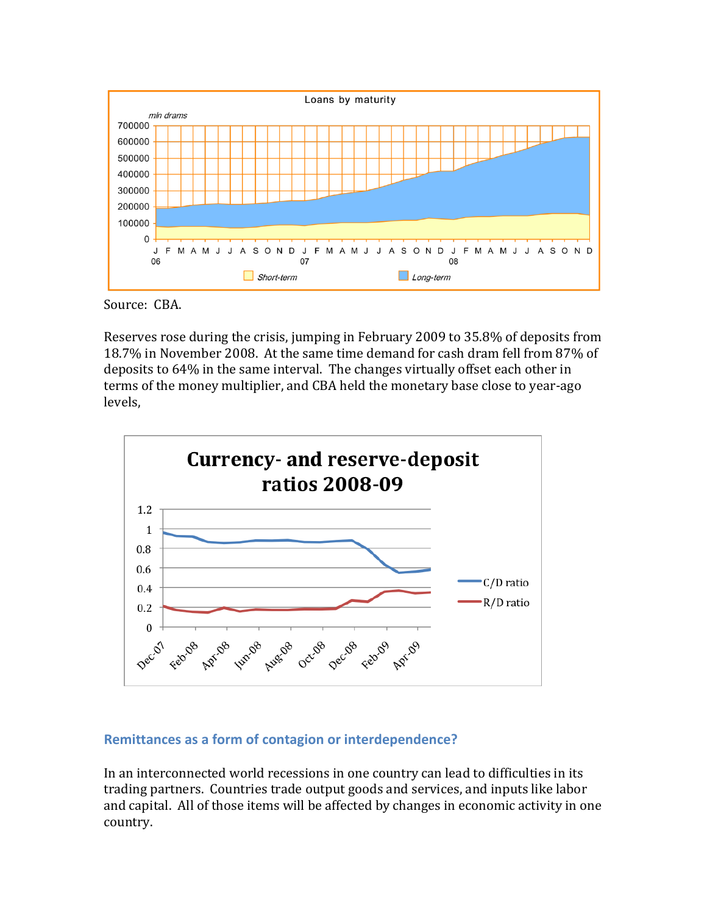

Source: CBA.

Reserves rose during the crisis, jumping in February 2009 to 35.8% of deposits from 18.7% in November 2008. At the same time demand for cash dram fell from 87% of deposits to 64% in the same interval. The changes virtually offset each other in terms of the money multiplier, and CBA held the monetary base close to year-ago levels,



### **Remittances as a form of contagion or interdependence?**

In an interconnected world recessions in one country can lead to difficulties in its trading partners. Countries trade output goods and services, and inputs like labor and capital. All of those items will be affected by changes in economic activity in one country.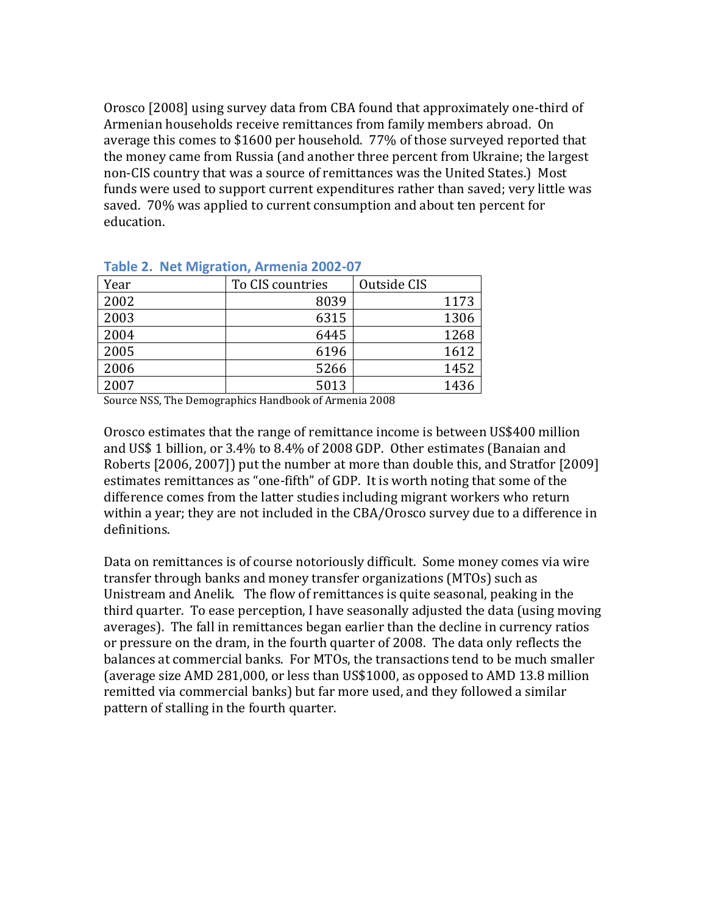Orosco [2008] using survey data from CBA found that approximately one-third of Armenian households receive remittances from family members abroad. On average this comes to \$1600 per household. 77% of those surveyed reported that the money came from Russia (and another three percent from Ukraine; the largest non-CIS country that was a source of remittances was the United States.) Most funds were used to support current expenditures rather than saved; very little was saved. 70% was applied to current consumption and about ten percent for education.

| $1.441$ $-1.121$ $-1.11$ $-1.11$ $-1.11$ $-1.11$ $-1.11$ $-1.11$ $-1.11$ $-1.11$ $-1.11$ |                  |             |  |  |  |
|------------------------------------------------------------------------------------------|------------------|-------------|--|--|--|
| Year                                                                                     | To CIS countries | Outside CIS |  |  |  |
| 2002                                                                                     | 8039             | 1173        |  |  |  |
| 2003                                                                                     | 6315             | 1306        |  |  |  |
| 2004                                                                                     | 6445             | 1268        |  |  |  |
| 2005                                                                                     | 6196             | 1612        |  |  |  |
| 2006                                                                                     | 5266             | 1452        |  |  |  |
| 2007                                                                                     | 5013             | 1436        |  |  |  |

#### **Table 2. Net Migration, Armenia 2002-07**

Source NSS, The Demographics Handbook of Armenia 2008

Orosco estimates that the range of remittance income is between US\$400 million and US\$ 1 billion, or 3.4% to 8.4% of 2008 GDP. Other estimates (Banaian and Roberts [2006, 2007]) put the number at more than double this, and Stratfor [2009] estimates remittances as "one-fifth" of GDP. It is worth noting that some of the difference comes from the latter studies including migrant workers who return within a year; they are not included in the CBA/Orosco survey due to a difference in definitions.

Data on remittances is of course notoriously difficult. Some money comes via wire transfer through banks and money transfer organizations (MTOs) such as Unistream and Anelik. The flow of remittances is quite seasonal, peaking in the third quarter. To ease perception, I have seasonally adjusted the data (using moving averages). The fall in remittances began earlier than the decline in currency ratios or pressure on the dram, in the fourth quarter of 2008. The data only reflects the balances at commercial banks. For MTOs, the transactions tend to be much smaller (average size AMD 281,000, or less than US\$1000, as opposed to AMD 13.8 million remitted via commercial banks) but far more used, and they followed a similar pattern of stalling in the fourth quarter.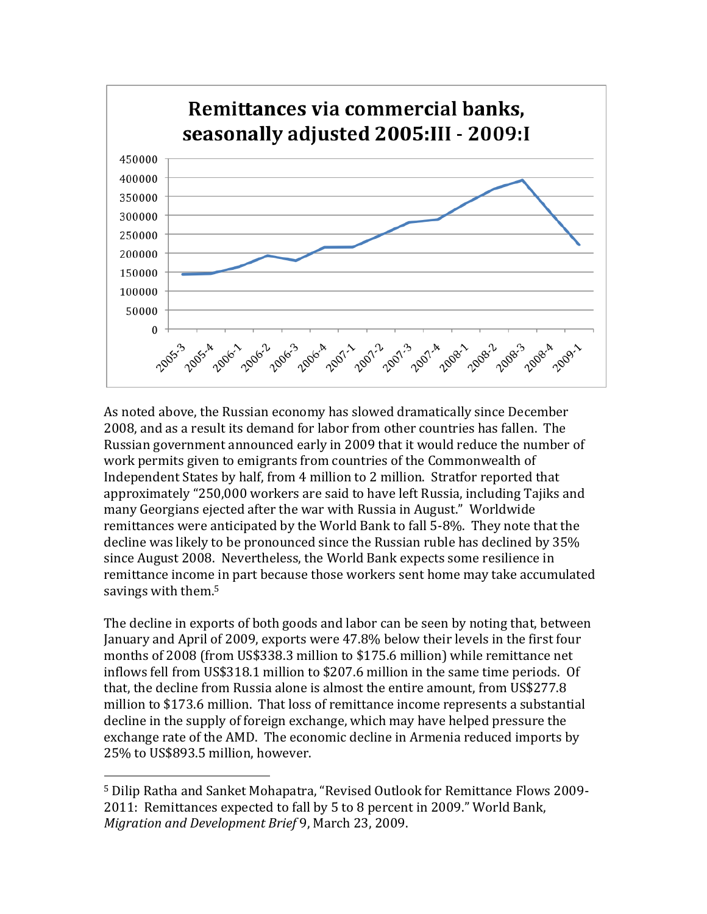

As noted above, the Russian economy has slowed dramatically since December 2008, and as a result its demand for labor from other countries has fallen. The Russian government announced early in 2009 that it would reduce the number of work permits given to emigrants from countries of the Commonwealth of Independent States by half, from 4 million to 2 million. Stratfor reported that approximately "250,000 workers are said to have left Russia, including Tajiks and many Georgians ejected after the war with Russia in August." Worldwide remittances were anticipated by the World Bank to fall 5-8%. They note that the decline was likely to be pronounced since the Russian ruble has declined by 35% since August 2008. Nevertheless, the World Bank expects some resilience in remittance income in part because those workers sent home may take accumulated savings with them.<sup>5</sup>

The decline in exports of both goods and labor can be seen by noting that, between January and April of 2009, exports were 47.8% below their levels in the first four months of 2008 (from US\$338.3 million to \$175.6 million) while remittance net inflows fell from US\$318.1 million to \$207.6 million in the same time periods. Of that, the decline from Russia alone is almost the entire amount, from US\$277.8 million to \$173.6 million. That loss of remittance income represents a substantial decline in the supply of foreign exchange, which may have helped pressure the exchange rate of the AMD. The economic decline in Armenia reduced imports by 25% to US\$893.5 million, however.

 $\overline{a}$ 

<sup>5</sup> Dilip Ratha and Sanket Mohapatra, "Revised Outlook for Remittance Flows 2009- 2011: Remittances expected to fall by 5 to 8 percent in 2009." World Bank, *Migration and Development Brief* 9, March 23, 2009.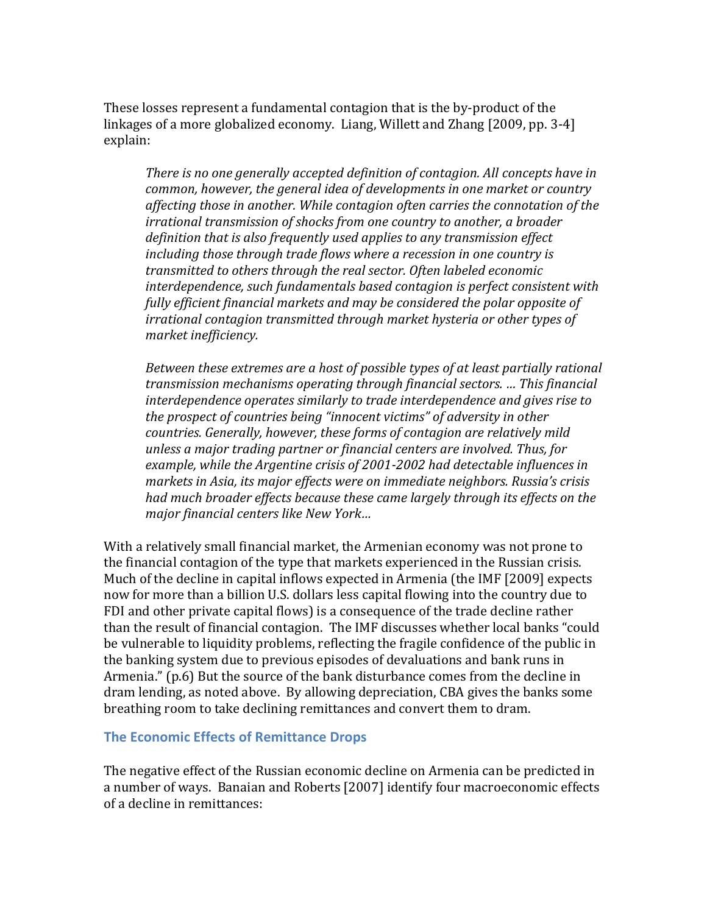These losses represent a fundamental contagion that is the by-product of the linkages of a more globalized economy. Liang, Willett and Zhang [2009, pp. 3-4] explain:

*There is no one generally accepted definition of contagion. All concepts have in common, however, the general idea of developments in one market or country affecting those in another. While contagion often carries the connotation of the irrational transmission of shocks from one country to another, a broader definition that is also frequently used applies to any transmission effect including those through trade flows where a recession in one country is transmitted to others through the real sector. Often labeled economic interdependence, such fundamentals based contagion is perfect consistent with fully efficient financial markets and may be considered the polar opposite of irrational contagion transmitted through market hysteria or other types of market inefficiency.*

*Between these extremes are a host of possible types of at least partially rational transmission mechanisms operating through financial sectors. … This financial interdependence operates similarly to trade interdependence and gives rise to the prospect of countries being "innocent victims" of adversity in other countries. Generally, however, these forms of contagion are relatively mild unless a major trading partner or financial centers are involved. Thus, for example, while the Argentine crisis of 2001-2002 had detectable influences in markets in Asia, its major effects were on immediate neighbors. Russia's crisis had much broader effects because these came largely through its effects on the major financial centers like New York…*

With a relatively small financial market, the Armenian economy was not prone to the financial contagion of the type that markets experienced in the Russian crisis. Much of the decline in capital inflows expected in Armenia (the IMF [2009] expects now for more than a billion U.S. dollars less capital flowing into the country due to FDI and other private capital flows) is a consequence of the trade decline rather than the result of financial contagion. The IMF discusses whether local banks "could be vulnerable to liquidity problems, reflecting the fragile confidence of the public in the banking system due to previous episodes of devaluations and bank runs in Armenia." (p.6) But the source of the bank disturbance comes from the decline in dram lending, as noted above. By allowing depreciation, CBA gives the banks some breathing room to take declining remittances and convert them to dram.

#### **The Economic Effects of Remittance Drops**

The negative effect of the Russian economic decline on Armenia can be predicted in a number of ways. Banaian and Roberts [2007] identify four macroeconomic effects of a decline in remittances: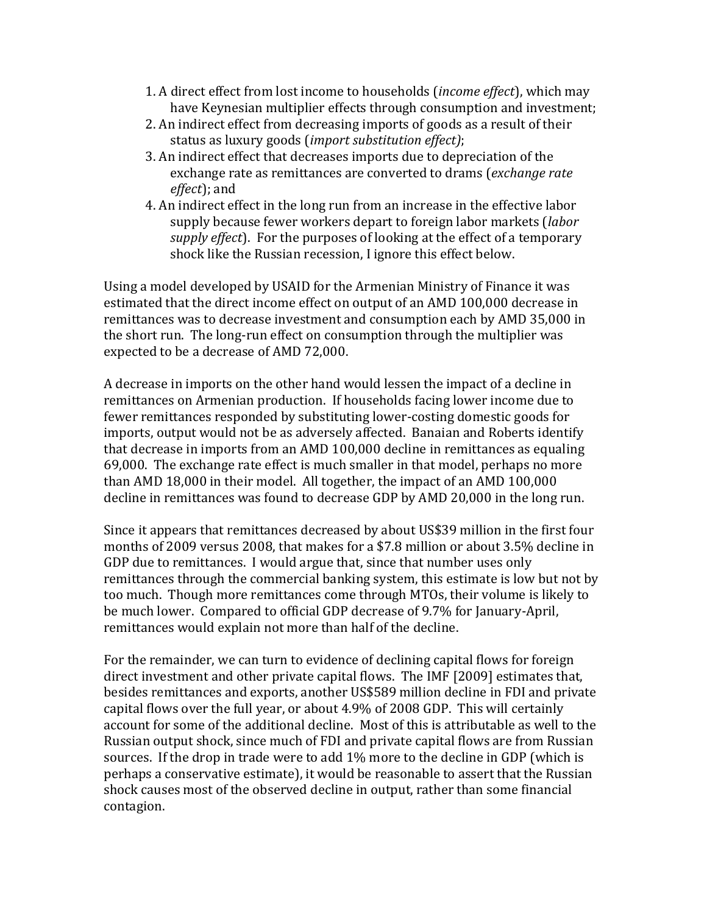- 1. A direct effect from lost income to households (*income effect*), which may have Keynesian multiplier effects through consumption and investment;
- 2. An indirect effect from decreasing imports of goods as a result of their status as luxury goods (*import substitution effect)*;
- 3. An indirect effect that decreases imports due to depreciation of the exchange rate as remittances are converted to drams (*exchange rate effect*); and
- 4. An indirect effect in the long run from an increase in the effective labor supply because fewer workers depart to foreign labor markets (*labor supply effect*). For the purposes of looking at the effect of a temporary shock like the Russian recession, I ignore this effect below.

Using a model developed by USAID for the Armenian Ministry of Finance it was estimated that the direct income effect on output of an AMD 100,000 decrease in remittances was to decrease investment and consumption each by AMD 35,000 in the short run. The long-run effect on consumption through the multiplier was expected to be a decrease of AMD 72,000.

A decrease in imports on the other hand would lessen the impact of a decline in remittances on Armenian production. If households facing lower income due to fewer remittances responded by substituting lower-costing domestic goods for imports, output would not be as adversely affected. Banaian and Roberts identify that decrease in imports from an AMD 100,000 decline in remittances as equaling 69,000. The exchange rate effect is much smaller in that model, perhaps no more than AMD 18,000 in their model. All together, the impact of an AMD 100,000 decline in remittances was found to decrease GDP by AMD 20,000 in the long run.

Since it appears that remittances decreased by about US\$39 million in the first four months of 2009 versus 2008, that makes for a \$7.8 million or about 3.5% decline in GDP due to remittances. I would argue that, since that number uses only remittances through the commercial banking system, this estimate is low but not by too much. Though more remittances come through MTOs, their volume is likely to be much lower. Compared to official GDP decrease of 9.7% for January-April, remittances would explain not more than half of the decline.

For the remainder, we can turn to evidence of declining capital flows for foreign direct investment and other private capital flows. The IMF [2009] estimates that, besides remittances and exports, another US\$589 million decline in FDI and private capital flows over the full year, or about 4.9% of 2008 GDP. This will certainly account for some of the additional decline. Most of this is attributable as well to the Russian output shock, since much of FDI and private capital flows are from Russian sources. If the drop in trade were to add 1% more to the decline in GDP (which is perhaps a conservative estimate), it would be reasonable to assert that the Russian shock causes most of the observed decline in output, rather than some financial contagion.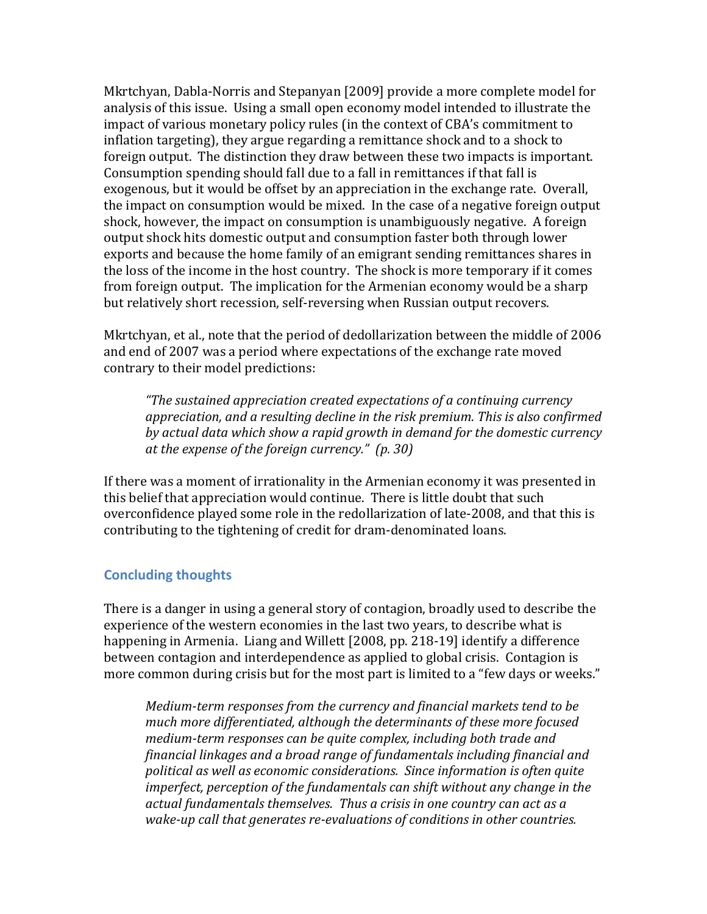Mkrtchyan, Dabla-Norris and Stepanyan [2009] provide a more complete model for analysis of this issue. Using a small open economy model intended to illustrate the impact of various monetary policy rules (in the context of CBA's commitment to inflation targeting), they argue regarding a remittance shock and to a shock to foreign output. The distinction they draw between these two impacts is important. Consumption spending should fall due to a fall in remittances if that fall is exogenous, but it would be offset by an appreciation in the exchange rate. Overall, the impact on consumption would be mixed. In the case of a negative foreign output shock, however, the impact on consumption is unambiguously negative. A foreign output shock hits domestic output and consumption faster both through lower exports and because the home family of an emigrant sending remittances shares in the loss of the income in the host country. The shock is more temporary if it comes from foreign output. The implication for the Armenian economy would be a sharp but relatively short recession, self-reversing when Russian output recovers.

Mkrtchyan, et al., note that the period of dedollarization between the middle of 2006 and end of 2007 was a period where expectations of the exchange rate moved contrary to their model predictions:

*"The sustained appreciation created expectations of a continuing currency appreciation, and a resulting decline in the risk premium. This is also confirmed by actual data which show a rapid growth in demand for the domestic currency at the expense of the foreign currency." (p. 30)* 

If there was a moment of irrationality in the Armenian economy it was presented in this belief that appreciation would continue. There is little doubt that such overconfidence played some role in the redollarization of late-2008, and that this is contributing to the tightening of credit for dram-denominated loans.

### **Concluding thoughts**

There is a danger in using a general story of contagion, broadly used to describe the experience of the western economies in the last two years, to describe what is happening in Armenia. Liang and Willett [2008, pp. 218-19] identify a difference between contagion and interdependence as applied to global crisis. Contagion is more common during crisis but for the most part is limited to a "few days or weeks."

*Medium-term responses from the currency and financial markets tend to be much more differentiated, although the determinants of these more focused medium-term responses can be quite complex, including both trade and financial linkages and a broad range of fundamentals including financial and political as well as economic considerations. Since information is often quite imperfect, perception of the fundamentals can shift without any change in the actual fundamentals themselves. Thus a crisis in one country can act as a wake-up call that generates re-evaluations of conditions in other countries.*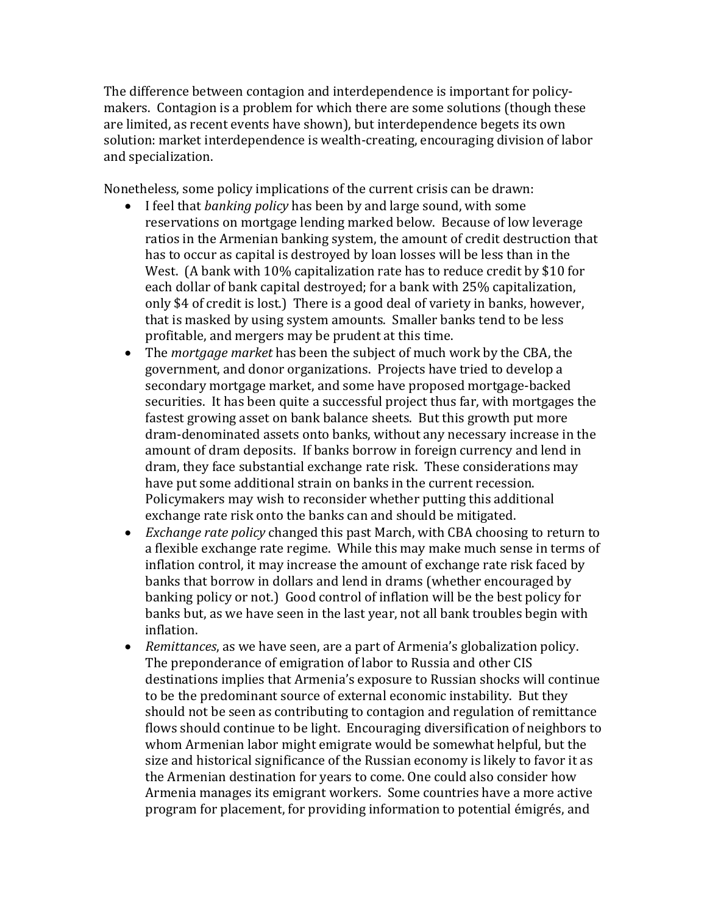The difference between contagion and interdependence is important for policymakers. Contagion is a problem for which there are some solutions (though these are limited, as recent events have shown), but interdependence begets its own solution: market interdependence is wealth-creating, encouraging division of labor and specialization.

Nonetheless, some policy implications of the current crisis can be drawn:

- I feel that *banking policy* has been by and large sound, with some reservations on mortgage lending marked below. Because of low leverage ratios in the Armenian banking system, the amount of credit destruction that has to occur as capital is destroyed by loan losses will be less than in the West. (A bank with 10% capitalization rate has to reduce credit by \$10 for each dollar of bank capital destroyed; for a bank with 25% capitalization, only \$4 of credit is lost.) There is a good deal of variety in banks, however, that is masked by using system amounts. Smaller banks tend to be less profitable, and mergers may be prudent at this time.
- The *mortgage market* has been the subject of much work by the CBA, the government, and donor organizations. Projects have tried to develop a secondary mortgage market, and some have proposed mortgage-backed securities. It has been quite a successful project thus far, with mortgages the fastest growing asset on bank balance sheets. But this growth put more dram-denominated assets onto banks, without any necessary increase in the amount of dram deposits. If banks borrow in foreign currency and lend in dram, they face substantial exchange rate risk. These considerations may have put some additional strain on banks in the current recession. Policymakers may wish to reconsider whether putting this additional exchange rate risk onto the banks can and should be mitigated.
- *Exchange rate policy* changed this past March, with CBA choosing to return to a flexible exchange rate regime. While this may make much sense in terms of inflation control, it may increase the amount of exchange rate risk faced by banks that borrow in dollars and lend in drams (whether encouraged by banking policy or not.) Good control of inflation will be the best policy for banks but, as we have seen in the last year, not all bank troubles begin with inflation.
- *Remittances*, as we have seen, are a part of Armenia's globalization policy. The preponderance of emigration of labor to Russia and other CIS destinations implies that Armenia's exposure to Russian shocks will continue to be the predominant source of external economic instability. But they should not be seen as contributing to contagion and regulation of remittance flows should continue to be light. Encouraging diversification of neighbors to whom Armenian labor might emigrate would be somewhat helpful, but the size and historical significance of the Russian economy is likely to favor it as the Armenian destination for years to come. One could also consider how Armenia manages its emigrant workers. Some countries have a more active program for placement, for providing information to potential émigrés, and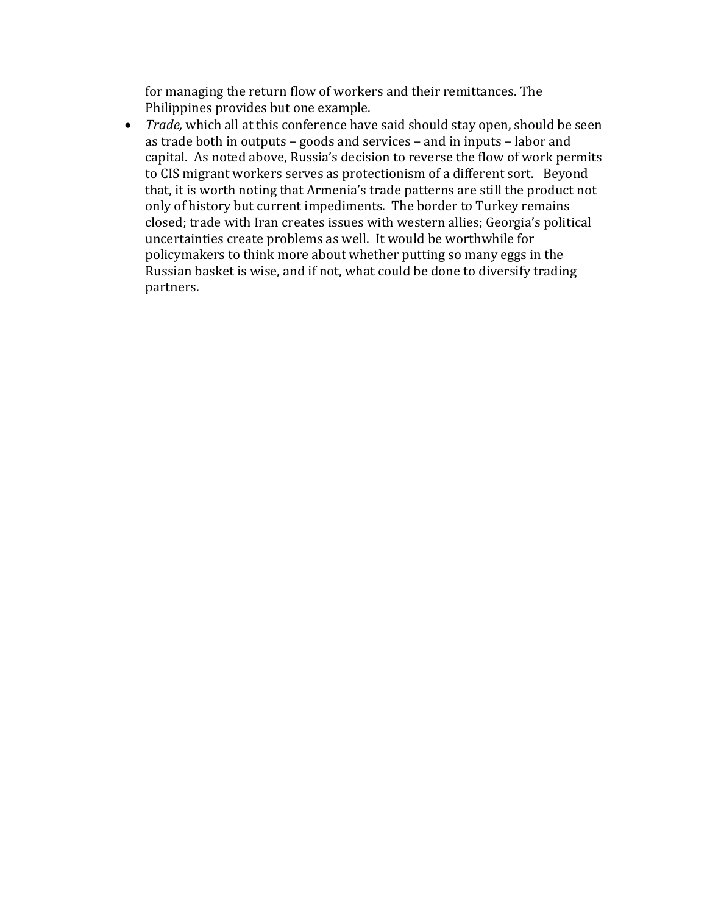for managing the return flow of workers and their remittances. The Philippines provides but one example.

 *Trade,* which all at this conference have said should stay open, should be seen as trade both in outputs – goods and services – and in inputs – labor and capital. As noted above, Russia's decision to reverse the flow of work permits to CIS migrant workers serves as protectionism of a different sort. Beyond that, it is worth noting that Armenia's trade patterns are still the product not only of history but current impediments. The border to Turkey remains closed; trade with Iran creates issues with western allies; Georgia's political uncertainties create problems as well. It would be worthwhile for policymakers to think more about whether putting so many eggs in the Russian basket is wise, and if not, what could be done to diversify trading partners.